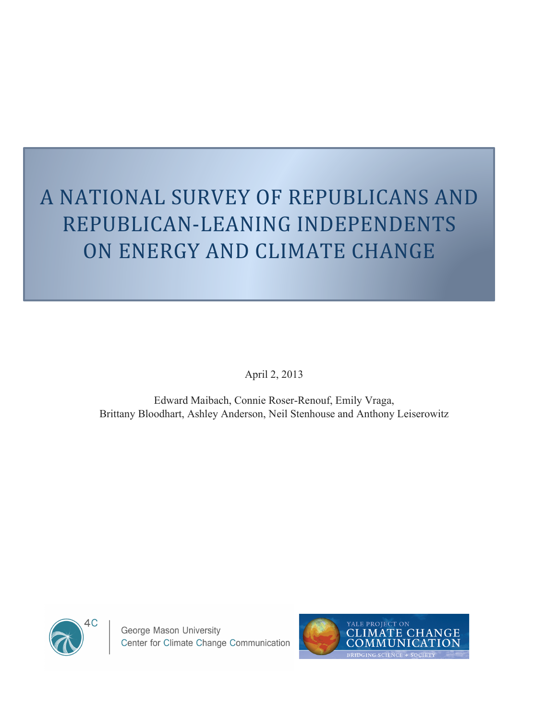# A NATIONAL SURVEY OF REPUBLICANS AND REPUBLICAN-LEANING INDEPENDENTS ON ENERGY AND CLIMATE CHANGE

April 2, 2013

Edward Maibach, Connie Roser-Renouf, Emily Vraga, Brittany Bloodhart, Ashley Anderson, Neil Stenhouse and Anthony Leiserowitz



George Mason University Center for Climate Change Communication

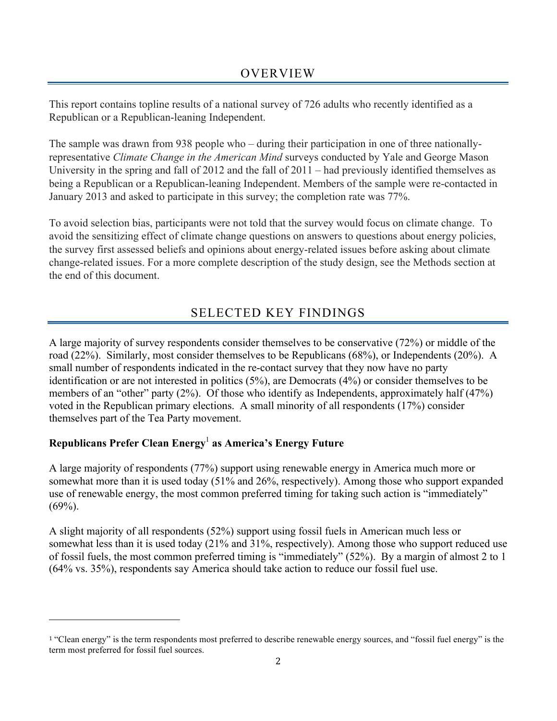This report contains topline results of a national survey of 726 adults who recently identified as a Republican or a Republican-leaning Independent.

The sample was drawn from 938 people who – during their participation in one of three nationallyrepresentative *Climate Change in the American Mind* surveys conducted by Yale and George Mason University in the spring and fall of 2012 and the fall of 2011 – had previously identified themselves as being a Republican or a Republican-leaning Independent. Members of the sample were re-contacted in January 2013 and asked to participate in this survey; the completion rate was 77%.

To avoid selection bias, participants were not told that the survey would focus on climate change. To avoid the sensitizing effect of climate change questions on answers to questions about energy policies, the survey first assessed beliefs and opinions about energy-related issues before asking about climate change-related issues. For a more complete description of the study design, see the Methods section at the end of this document.

# SELECTED KEY FINDINGS

A large majority of survey respondents consider themselves to be conservative (72%) or middle of the road (22%). Similarly, most consider themselves to be Republicans (68%), or Independents (20%). A small number of respondents indicated in the re-contact survey that they now have no party identification or are not interested in politics (5%), are Democrats (4%) or consider themselves to be members of an "other" party (2%). Of those who identify as Independents, approximately half (47%) voted in the Republican primary elections. A small minority of all respondents (17%) consider themselves part of the Tea Party movement.

## **Republicans Prefer Clean Energy**<sup>1</sup> **as America's Energy Future**

""""""""""""""""""""""""""""""""""""""""""""""""""""""""""""

A large majority of respondents (77%) support using renewable energy in America much more or somewhat more than it is used today (51% and 26%, respectively). Among those who support expanded use of renewable energy, the most common preferred timing for taking such action is "immediately"  $(69\%)$ .

A slight majority of all respondents (52%) support using fossil fuels in American much less or somewhat less than it is used today (21% and 31%, respectively). Among those who support reduced use of fossil fuels, the most common preferred timing is "immediately" (52%). By a margin of almost 2 to 1 (64% vs. 35%), respondents say America should take action to reduce our fossil fuel use.

<sup>&</sup>lt;sup>1</sup> "Clean energy" is the term respondents most preferred to describe renewable energy sources, and "fossil fuel energy" is the term most preferred for fossil fuel sources.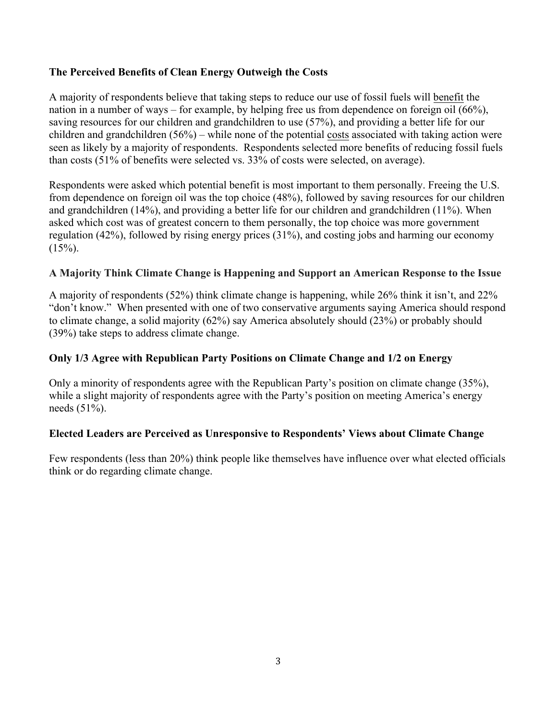#### **The Perceived Benefits of Clean Energy Outweigh the Costs**

A majority of respondents believe that taking steps to reduce our use of fossil fuels will benefit the nation in a number of ways – for example, by helping free us from dependence on foreign oil (66%), saving resources for our children and grandchildren to use (57%), and providing a better life for our children and grandchildren (56%) – while none of the potential costs associated with taking action were seen as likely by a majority of respondents. Respondents selected more benefits of reducing fossil fuels than costs (51% of benefits were selected vs. 33% of costs were selected, on average).

Respondents were asked which potential benefit is most important to them personally. Freeing the U.S. from dependence on foreign oil was the top choice (48%), followed by saving resources for our children and grandchildren (14%), and providing a better life for our children and grandchildren (11%). When asked which cost was of greatest concern to them personally, the top choice was more government regulation (42%), followed by rising energy prices (31%), and costing jobs and harming our economy  $(15\%)$ .

#### **A Majority Think Climate Change is Happening and Support an American Response to the Issue**

A majority of respondents (52%) think climate change is happening, while 26% think it isn't, and 22% "don't know." When presented with one of two conservative arguments saying America should respond to climate change, a solid majority (62%) say America absolutely should (23%) or probably should (39%) take steps to address climate change.

#### **Only 1/3 Agree with Republican Party Positions on Climate Change and 1/2 on Energy**

Only a minority of respondents agree with the Republican Party's position on climate change (35%), while a slight majority of respondents agree with the Party's position on meeting America's energy needs (51%).

#### **Elected Leaders are Perceived as Unresponsive to Respondents' Views about Climate Change**

Few respondents (less than 20%) think people like themselves have influence over what elected officials think or do regarding climate change.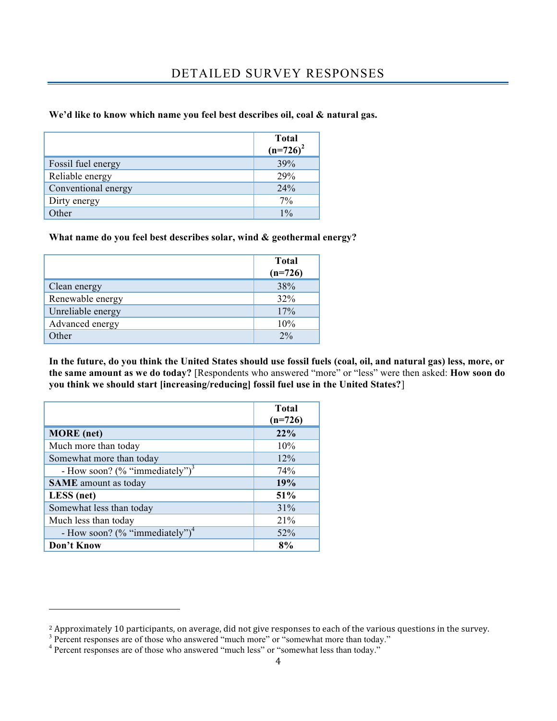### DETAILED SURVEY RESPONSES

#### **We'd like to know which name you feel best describes oil, coal & natural gas.**

|                     | <b>Total</b><br>$(n=726)^2$ |
|---------------------|-----------------------------|
| Fossil fuel energy  | 39%                         |
| Reliable energy     | 29%                         |
| Conventional energy | 24%                         |
| Dirty energy        | 7%                          |
| Other               | $1\frac{0}{6}$              |

#### **What name do you feel best describes solar, wind & geothermal energy?**

|                   | <b>Total</b><br>$(n=726)$ |
|-------------------|---------------------------|
| Clean energy      | 38%                       |
| Renewable energy  | 32%                       |
| Unreliable energy | 17%                       |
| Advanced energy   | 10%                       |
| Other             | 2%                        |

**In the future, do you think the United States should use fossil fuels (coal, oil, and natural gas) less, more, or the same amount as we do today?** [Respondents who answered "more" or "less" were then asked: **How soon do you think we should start [increasing/reducing] fossil fuel use in the United States?**]

|                                            | <b>Total</b><br>$(n=726)$ |
|--------------------------------------------|---------------------------|
| <b>MORE</b> (net)                          | 22%                       |
| Much more than today                       | 10%                       |
| Somewhat more than today                   | 12%                       |
| - How soon? (% "immediately") <sup>3</sup> | 74%                       |
| <b>SAME</b> amount as today                | 19%                       |
| LESS (net)                                 | 51%                       |
| Somewhat less than today                   | 31%                       |
| Much less than today                       | 21%                       |
| - How soon? (% "immediately") <sup>4</sup> | 52%                       |
| Don't Know                                 | 8%                        |

""""""""""""""""""""""""""""""""""""""""""""""""""""""""""""

<sup>&</sup>lt;sup>2</sup> Approximately 10 participants, on average, did not give responses to each of the various questions in the survey.<br><sup>3</sup> Percent responses are of those who answered "much more" or "somewhat more than today."

<sup>&</sup>lt;sup>4</sup> Percent responses are of those who answered "much less" or "somewhat less than today."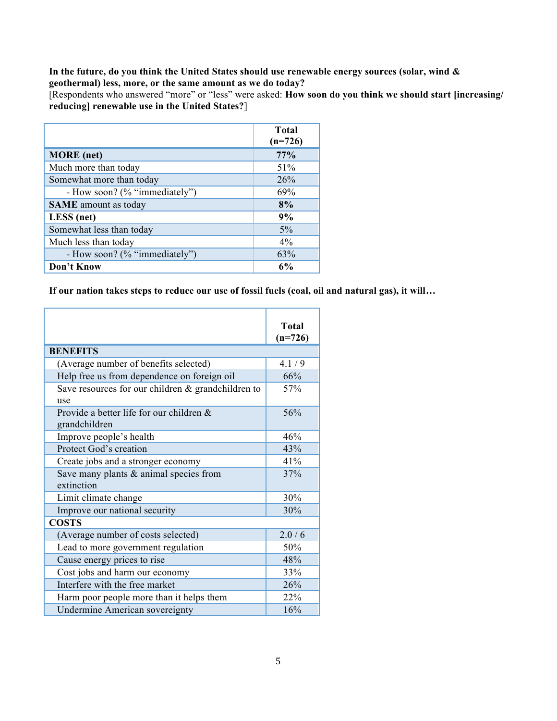#### **In the future, do you think the United States should use renewable energy sources (solar, wind & geothermal) less, more, or the same amount as we do today?**

[Respondents who answered "more" or "less" were asked: **How soon do you think we should start [increasing/ reducing] renewable use in the United States?**]

|                               | <b>Total</b><br>$(n=726)$ |
|-------------------------------|---------------------------|
| <b>MORE</b> (net)             | 77%                       |
| Much more than today          | 51%                       |
| Somewhat more than today      | 26%                       |
| - How soon? (% "immediately") | 69%                       |
| <b>SAME</b> amount as today   | 8%                        |
| LESS (net)                    | 9%                        |
| Somewhat less than today      | $5\%$                     |
| Much less than today          | $4\%$                     |
| - How soon? (% "immediately") | 63%                       |
| Don't Know                    | 6%                        |

**If our nation takes steps to reduce our use of fossil fuels (coal, oil and natural gas), it will…**

|                                                       | <b>Total</b> |
|-------------------------------------------------------|--------------|
|                                                       | $(n=726)$    |
| <b>BENEFITS</b>                                       |              |
| (Average number of benefits selected)                 | 4.1/9        |
| Help free us from dependence on foreign oil           | 66%          |
| Save resources for our children $\&$ grandchildren to | 57%          |
| use                                                   |              |
| Provide a better life for our children &              | 56%          |
| grandchildren                                         |              |
| Improve people's health                               | 46%          |
| Protect God's creation                                | 43%          |
| Create jobs and a stronger economy                    | 41%          |
| Save many plants $&$ animal species from              | 37%          |
| extinction                                            |              |
| Limit climate change                                  | 30%          |
| Improve our national security                         | 30%          |
| <b>COSTS</b>                                          |              |
| (Average number of costs selected)                    | 2.0/6        |
| Lead to more government regulation                    | 50%          |
| Cause energy prices to rise                           | 48%          |
| Cost jobs and harm our economy                        | 33%          |
| Interfere with the free market                        | 26%          |
| Harm poor people more than it helps them              | 22%          |
| <b>Undermine American sovereignty</b>                 | 16%          |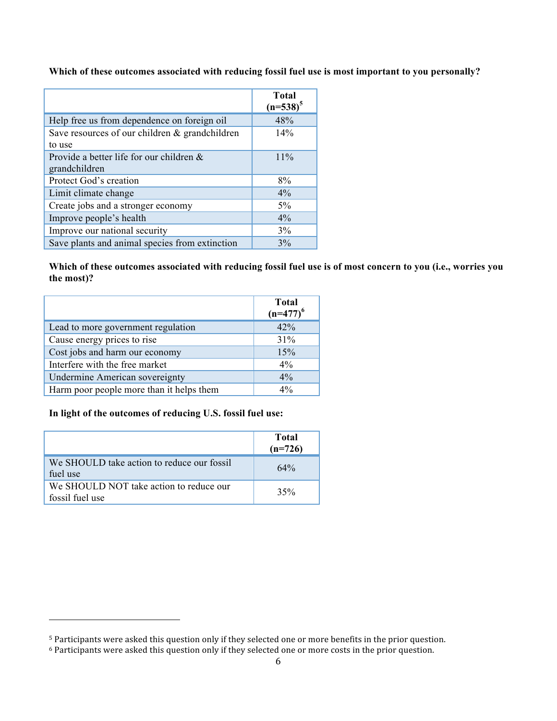**Which of these outcomes associated with reducing fossil fuel use is most important to you personally?**

|                                                | <b>Total</b><br>$(n=538)^5$ |
|------------------------------------------------|-----------------------------|
| Help free us from dependence on foreign oil    | 48%                         |
| Save resources of our children & grandchildren | 14%                         |
| to use                                         |                             |
| Provide a better life for our children &       | 11%                         |
| grandchildren                                  |                             |
| Protect God's creation                         | 8%                          |
| Limit climate change                           | $4\%$                       |
| Create jobs and a stronger economy             | $5\%$                       |
| Improve people's health                        | $4\%$                       |
| Improve our national security                  | 3%                          |
| Save plants and animal species from extinction | 3%                          |

**Which of these outcomes associated with reducing fossil fuel use is of most concern to you (i.e., worries you the most)?**

|                                          | <b>Total</b><br>$(n=477)^6$ |
|------------------------------------------|-----------------------------|
| Lead to more government regulation       | 42%                         |
| Cause energy prices to rise              | 31%                         |
| Cost jobs and harm our economy           | 15%                         |
| Interfere with the free market           | $4\%$                       |
| Undermine American sovereignty           | 4%                          |
| Harm poor people more than it helps them | $4\%$                       |

#### **In light of the outcomes of reducing U.S. fossil fuel use:**

""""""""""""""""""""""""""""""""""""""""""""""""""""""""""""

|                                                            | <b>Total</b><br>$(n=726)$ |
|------------------------------------------------------------|---------------------------|
| We SHOULD take action to reduce our fossil<br>fuel use     | 64%                       |
| We SHOULD NOT take action to reduce our<br>fossil fuel use | 35%                       |

<sup>&</sup>lt;sup>5</sup> Participants were asked this question only if they selected one or more benefits in the prior question.

<sup>&</sup>lt;sup>6</sup> Participants were asked this question only if they selected one or more costs in the prior question.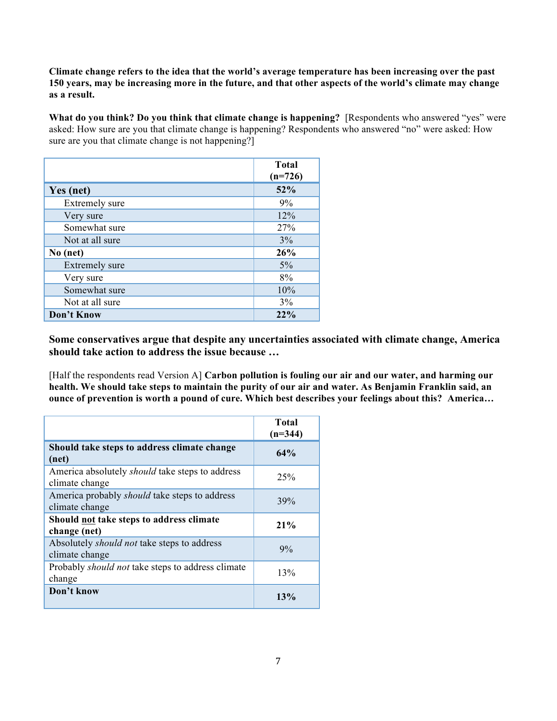**Climate change refers to the idea that the world's average temperature has been increasing over the past 150 years, may be increasing more in the future, and that other aspects of the world's climate may change as a result.**

**What do you think? Do you think that climate change is happening?** [Respondents who answered "yes" were asked: How sure are you that climate change is happening? Respondents who answered "no" were asked: How sure are you that climate change is not happening?

|                       | <b>Total</b><br>$(n=726)$ |
|-----------------------|---------------------------|
| Yes (net)             | 52%                       |
| Extremely sure        | 9%                        |
| Very sure             | 12%                       |
| Somewhat sure         | 27%                       |
| Not at all sure       | 3%                        |
| No (net)              | 26%                       |
| <b>Extremely sure</b> | 5%                        |
| Very sure             | 8%                        |
| Somewhat sure         | 10%                       |
| Not at all sure       | 3%                        |
| Don't Know            | 22%                       |

**Some conservatives argue that despite any uncertainties associated with climate change, America should take action to address the issue because …**

[Half the respondents read Version A] **Carbon pollution is fouling our air and our water, and harming our health. We should take steps to maintain the purity of our air and water. As Benjamin Franklin said, an ounce of prevention is worth a pound of cure. Which best describes your feelings about this? America…**

|                                                                          | <b>Total</b><br>$(n=344)$ |
|--------------------------------------------------------------------------|---------------------------|
| Should take steps to address climate change<br>(net)                     | 64%                       |
| America absolutely <i>should</i> take steps to address<br>climate change | 25%                       |
| America probably <i>should</i> take steps to address<br>climate change   | 39%                       |
| Should not take steps to address climate<br>change (net)                 | 21%                       |
| Absolutely <i>should not</i> take steps to address<br>climate change     | $9\%$                     |
| Probably <i>should not</i> take steps to address climate<br>change       | 13%                       |
| Don't know                                                               | 13%                       |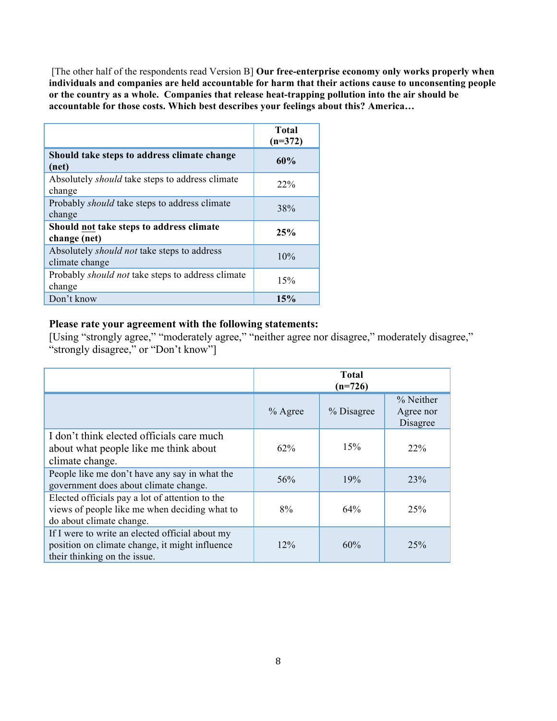[The other half of the respondents read Version B] **Our free-enterprise economy only works properly when individuals and companies are held accountable for harm that their actions cause to unconsenting people or the country as a whole. Companies that release heat-trapping pollution into the air should be accountable for those costs. Which best describes your feelings about this? America…**

|                                                                      | <b>Total</b><br>$(n=372)$ |
|----------------------------------------------------------------------|---------------------------|
| Should take steps to address climate change<br>(net)                 | 60%                       |
| Absolutely <i>should</i> take steps to address climate<br>change     | 22%                       |
| Probably <i>should</i> take steps to address climate<br>change       | 38%                       |
| Should not take steps to address climate<br>change (net)             | 25%                       |
| Absolutely <i>should not</i> take steps to address<br>climate change | 10%                       |
| Probably <i>should not</i> take steps to address climate<br>change   | 15%                       |
| Don't know                                                           | 15%                       |

#### **Please rate your agreement with the following statements:**

[Using "strongly agree," "moderately agree," "neither agree nor disagree," moderately disagree," "strongly disagree," or "Don't know"]

|                                                                                                                                   | <b>Total</b><br>$(n=726)$ |            |                                    |
|-----------------------------------------------------------------------------------------------------------------------------------|---------------------------|------------|------------------------------------|
|                                                                                                                                   | $%$ Agree                 | % Disagree | % Neither<br>Agree nor<br>Disagree |
| I don't think elected officials care much<br>about what people like me think about<br>climate change.                             | $62\%$                    | 15%        | 22%                                |
| People like me don't have any say in what the<br>government does about climate change.                                            | 56%                       | 19%        | 23%                                |
| Elected officials pay a lot of attention to the<br>views of people like me when deciding what to<br>do about climate change.      | 8%                        | 64%        | 25%                                |
| If I were to write an elected official about my<br>position on climate change, it might influence<br>their thinking on the issue. | $12\%$                    | 60%        | 25%                                |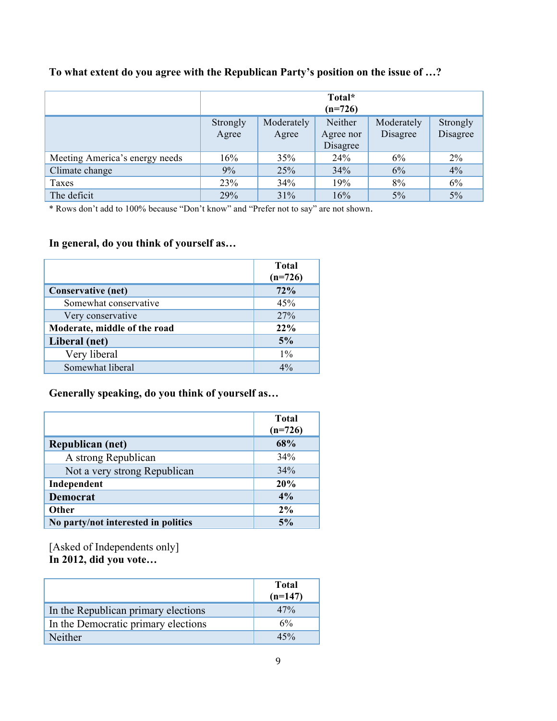|                                |                   |                     | Total*<br>$(n=726)$              |                        |                      |
|--------------------------------|-------------------|---------------------|----------------------------------|------------------------|----------------------|
|                                | Strongly<br>Agree | Moderately<br>Agree | Neither<br>Agree nor<br>Disagree | Moderately<br>Disagree | Strongly<br>Disagree |
| Meeting America's energy needs | 16%               | 35%                 | 24%                              | 6%                     | $2\%$                |
| Climate change                 | 9%                | 25%                 | 34%                              | 6%                     | 4%                   |
| Taxes                          | 23%               | 34%                 | 19%                              | 8%                     | 6%                   |
| The deficit                    | 29%               | 31%                 | 16%                              | 5%                     | 5%                   |

## **To what extent do you agree with the Republican Party's position on the issue of …?**

\* Rows don't add to 100% because "Don't know" and "Prefer not to say" are not shown.

### **In general, do you think of yourself as…**

|                              | <b>Total</b><br>$(n=726)$ |
|------------------------------|---------------------------|
| <b>Conservative (net)</b>    | 72%                       |
| Somewhat conservative        | 45%                       |
| Very conservative            | 27%                       |
| Moderate, middle of the road | $22\%$                    |
| Liberal (net)                | 5%                        |
| Very liberal                 | $1\%$                     |
| Somewhat liberal             | $4\%$                     |

#### **Generally speaking, do you think of yourself as…**

|                                     | <b>Total</b><br>$(n=726)$ |
|-------------------------------------|---------------------------|
| <b>Republican (net)</b>             | 68%                       |
| A strong Republican                 | 34%                       |
| Not a very strong Republican        | 34%                       |
| Independent                         | 20%                       |
| <b>Democrat</b>                     | 4%                        |
| Other                               | 2%                        |
| No party/not interested in politics | 5%                        |

[Asked of Independents only] **In 2012, did you vote…**

|                                     | Total<br>$(n=147)$ |
|-------------------------------------|--------------------|
| In the Republican primary elections | 47%                |
| In the Democratic primary elections | 6%                 |
| Neither                             | 45%                |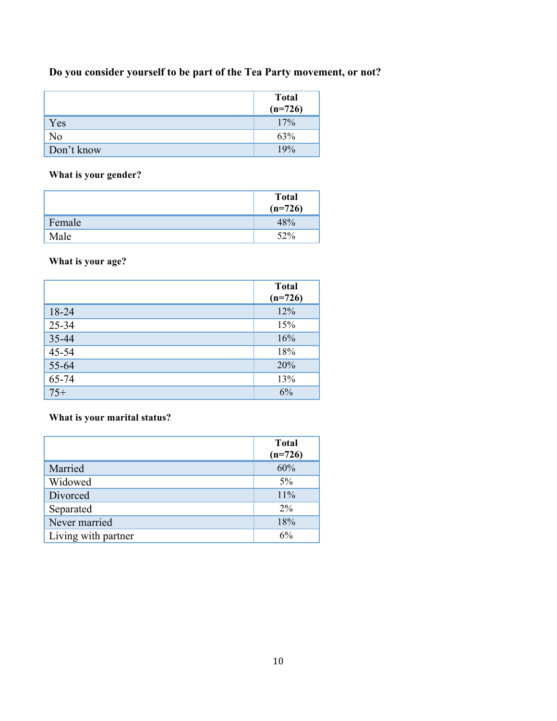## **Do you consider yourself to be part of the Tea Party movement, or not?**

|            | <b>Total</b><br>$(n=726)$ |
|------------|---------------------------|
| Yes        | 17%                       |
| No         | 63%                       |
| Don't know | 19%                       |

**What is your gender?**

|        | <b>Total</b><br>$(n=726)$ |
|--------|---------------------------|
| Female | 48%                       |
| Male   | 52%                       |

**What is your age?**

|       | <b>Total</b><br>$(n=726)$ |
|-------|---------------------------|
| 18-24 | 12%                       |
| 25-34 | 15%                       |
| 35-44 | 16%                       |
| 45-54 | 18%                       |
| 55-64 | 20%                       |
| 65-74 | 13%                       |
| $75+$ | 6%                        |

**What is your marital status?**

|                     | <b>Total</b><br>$(n=726)$ |
|---------------------|---------------------------|
| Married             | 60%                       |
| Widowed             | $5\%$                     |
| Divorced            | 11%                       |
| Separated           | $2\%$                     |
| Never married       | 18%                       |
| Living with partner | 6%                        |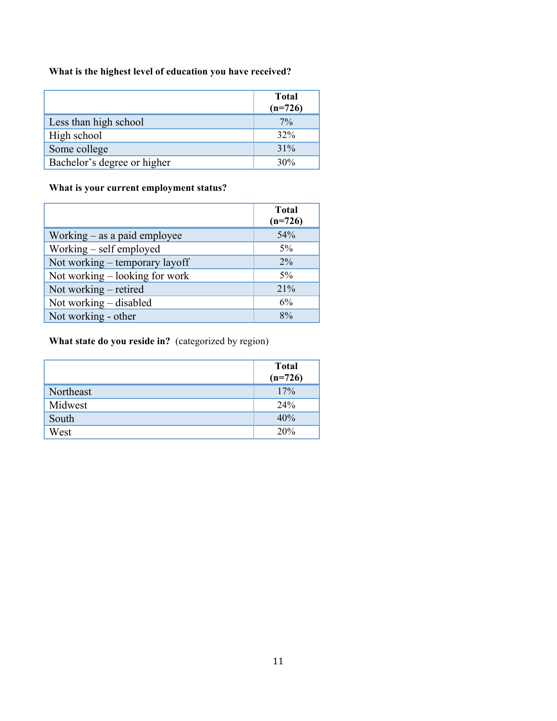#### **What is the highest level of education you have received?**

|                             | <b>Total</b><br>$(n=726)$ |
|-----------------------------|---------------------------|
| Less than high school       | $7\%$                     |
| High school                 | 32%                       |
| Some college                | 31%                       |
| Bachelor's degree or higher | 30%                       |

#### **What is your current employment status?**

|                                  | <b>Total</b><br>$(n=726)$ |
|----------------------------------|---------------------------|
| Working $-$ as a paid employee   | 54%                       |
| Working – self employed          | $5\%$                     |
| Not working – temporary layoff   | $2\%$                     |
| Not working $-$ looking for work | 5%                        |
| Not working – retired            | 21%                       |
| Not working – disabled           | 6%                        |
| Not working - other              | 8%                        |

#### **What state do you reside in?** (categorized by region)

|           | <b>Total</b><br>$(n=726)$ |
|-----------|---------------------------|
| Northeast | 17%                       |
| Midwest   | 24%                       |
| South     | 40%                       |
| West      | 20%                       |